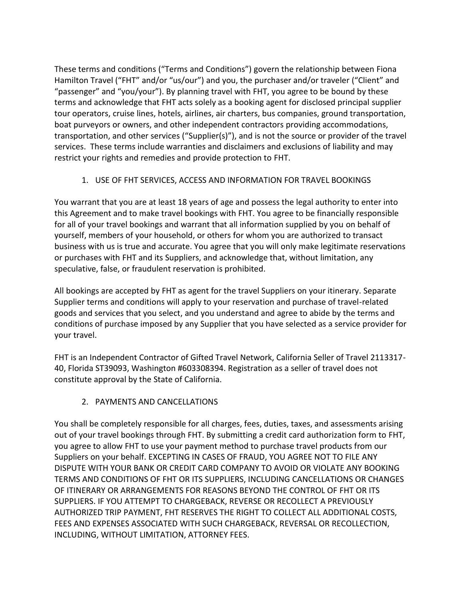These terms and conditions ("Terms and Conditions") govern the relationship between Fiona Hamilton Travel ("FHT" and/or "us/our") and you, the purchaser and/or traveler ("Client" and "passenger" and "you/your"). By planning travel with FHT, you agree to be bound by these terms and acknowledge that FHT acts solely as a booking agent for disclosed principal supplier tour operators, cruise lines, hotels, airlines, air charters, bus companies, ground transportation, boat purveyors or owners, and other independent contractors providing accommodations, transportation, and other services ("Supplier(s)"), and is not the source or provider of the travel services. These terms include warranties and disclaimers and exclusions of liability and may restrict your rights and remedies and provide protection to FHT.

# 1. USE OF FHT SERVICES, ACCESS AND INFORMATION FOR TRAVEL BOOKINGS

You warrant that you are at least 18 years of age and possess the legal authority to enter into this Agreement and to make travel bookings with FHT. You agree to be financially responsible for all of your travel bookings and warrant that all information supplied by you on behalf of yourself, members of your household, or others for whom you are authorized to transact business with us is true and accurate. You agree that you will only make legitimate reservations or purchases with FHT and its Suppliers, and acknowledge that, without limitation, any speculative, false, or fraudulent reservation is prohibited.

All bookings are accepted by FHT as agent for the travel Suppliers on your itinerary. Separate Supplier terms and conditions will apply to your reservation and purchase of travel-related goods and services that you select, and you understand and agree to abide by the terms and conditions of purchase imposed by any Supplier that you have selected as a service provider for your travel.

FHT is an Independent Contractor of Gifted Travel Network, California Seller of Travel 2113317- 40, Florida ST39093, Washington #603308394. Registration as a seller of travel does not constitute approval by the State of California.

# 2. PAYMENTS AND CANCELLATIONS

You shall be completely responsible for all charges, fees, duties, taxes, and assessments arising out of your travel bookings through FHT. By submitting a credit card authorization form to FHT, you agree to allow FHT to use your payment method to purchase travel products from our Suppliers on your behalf. EXCEPTING IN CASES OF FRAUD, YOU AGREE NOT TO FILE ANY DISPUTE WITH YOUR BANK OR CREDIT CARD COMPANY TO AVOID OR VIOLATE ANY BOOKING TERMS AND CONDITIONS OF FHT OR ITS SUPPLIERS, INCLUDING CANCELLATIONS OR CHANGES OF ITINERARY OR ARRANGEMENTS FOR REASONS BEYOND THE CONTROL OF FHT OR ITS SUPPLIERS. IF YOU ATTEMPT TO CHARGEBACK, REVERSE OR RECOLLECT A PREVIOUSLY AUTHORIZED TRIP PAYMENT, FHT RESERVES THE RIGHT TO COLLECT ALL ADDITIONAL COSTS, FEES AND EXPENSES ASSOCIATED WITH SUCH CHARGEBACK, REVERSAL OR RECOLLECTION, INCLUDING, WITHOUT LIMITATION, ATTORNEY FEES.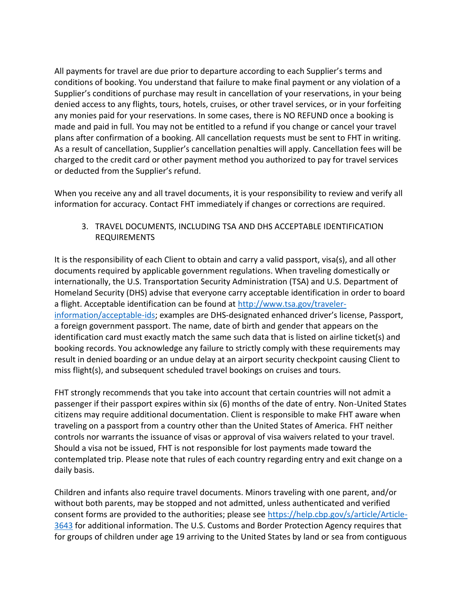All payments for travel are due prior to departure according to each Supplier's terms and conditions of booking. You understand that failure to make final payment or any violation of a Supplier's conditions of purchase may result in cancellation of your reservations, in your being denied access to any flights, tours, hotels, cruises, or other travel services, or in your forfeiting any monies paid for your reservations. In some cases, there is NO REFUND once a booking is made and paid in full. You may not be entitled to a refund if you change or cancel your travel plans after confirmation of a booking. All cancellation requests must be sent to FHT in writing. As a result of cancellation, Supplier's cancellation penalties will apply. Cancellation fees will be charged to the credit card or other payment method you authorized to pay for travel services or deducted from the Supplier's refund.

When you receive any and all travel documents, it is your responsibility to review and verify all information for accuracy. Contact FHT immediately if changes or corrections are required.

3. TRAVEL DOCUMENTS, INCLUDING TSA AND DHS ACCEPTABLE IDENTIFICATION REQUIREMENTS

It is the responsibility of each Client to obtain and carry a valid passport, visa(s), and all other documents required by applicable government regulations. When traveling domestically or internationally, the U.S. Transportation Security Administration (TSA) and U.S. Department of Homeland Security (DHS) advise that everyone carry acceptable identification in order to board a flight. Acceptable identification can be found at [http://www.tsa.gov/traveler](http://www.tsa.gov/traveler-information/acceptable-ids)[information/acceptable-ids;](http://www.tsa.gov/traveler-information/acceptable-ids) examples are DHS-designated enhanced driver's license, Passport, a foreign government passport. The name, date of birth and gender that appears on the identification card must exactly match the same such data that is listed on airline ticket(s) and booking records. You acknowledge any failure to strictly comply with these requirements may result in denied boarding or an undue delay at an airport security checkpoint causing Client to miss flight(s), and subsequent scheduled travel bookings on cruises and tours.

FHT strongly recommends that you take into account that certain countries will not admit a passenger if their passport expires within six (6) months of the date of entry. Non-United States citizens may require additional documentation. Client is responsible to make FHT aware when traveling on a passport from a country other than the United States of America. FHT neither controls nor warrants the issuance of visas or approval of visa waivers related to your travel. Should a visa not be issued, FHT is not responsible for lost payments made toward the contemplated trip. Please note that rules of each country regarding entry and exit change on a daily basis.

Children and infants also require travel documents. Minors traveling with one parent, and/or without both parents, may be stopped and not admitted, unless authenticated and verified consent forms are provided to the authorities; please see [https://help.cbp.gov/s/article/Article-](https://help.cbp.gov/s/article/Article-3643)[3643](https://help.cbp.gov/s/article/Article-3643) for additional information. The U.S. Customs and Border Protection Agency requires that for groups of children under age 19 arriving to the United States by land or sea from contiguous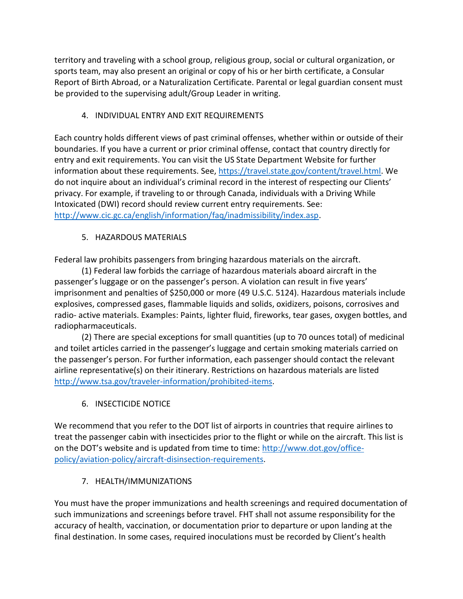territory and traveling with a school group, religious group, social or cultural organization, or sports team, may also present an original or copy of his or her birth certificate, a Consular Report of Birth Abroad, or a Naturalization Certificate. Parental or legal guardian consent must be provided to the supervising adult/Group Leader in writing.

# 4. INDIVIDUAL ENTRY AND EXIT REQUIREMENTS

Each country holds different views of past criminal offenses, whether within or outside of their boundaries. If you have a current or prior criminal offense, contact that country directly for entry and exit requirements. You can visit the US State Department Website for further information about these requirements. See, [https://travel.state.gov/content/travel.html.](https://travel.state.gov/content/travel.html) We do not inquire about an individual's criminal record in the interest of respecting our Clients' privacy. For example, if traveling to or through Canada, individuals with a Driving While Intoxicated (DWI) record should review current entry requirements. See: [http://www.cic.gc.ca/english/information/faq/inadmissibility/index.asp.](http://www.cic.gc.ca/english/information/faq/inadmissibility/index.asp)

# 5. HAZARDOUS MATERIALS

Federal law prohibits passengers from bringing hazardous materials on the aircraft.

(1) Federal law forbids the carriage of hazardous materials aboard aircraft in the passenger's luggage or on the passenger's person. A violation can result in five years' imprisonment and penalties of \$250,000 or more (49 U.S.C. 5124). Hazardous materials include explosives, compressed gases, flammable liquids and solids, oxidizers, poisons, corrosives and radio- active materials. Examples: Paints, lighter fluid, fireworks, tear gases, oxygen bottles, and radiopharmaceuticals.

(2) There are special exceptions for small quantities (up to 70 ounces total) of medicinal and toilet articles carried in the passenger's luggage and certain smoking materials carried on the passenger's person. For further information, each passenger should contact the relevant airline representative(s) on their itinerary. Restrictions on hazardous materials are listed [http://www.tsa.gov/traveler-information/prohibited-items.](http://www.tsa.gov/traveler-information/prohibited-items)

6. INSECTICIDE NOTICE

We recommend that you refer to the DOT list of airports in countries that require airlines to treat the passenger cabin with insecticides prior to the flight or while on the aircraft. This list is on the DOT's website and is updated from time to time: [http://www.dot.gov/office](http://www.dot.gov/office-policy/aviation-policy/aircraft-disinsection-requirements)[policy/aviation-policy/aircraft-disinsection-requirements.](http://www.dot.gov/office-policy/aviation-policy/aircraft-disinsection-requirements)

#### 7. HEALTH/IMMUNIZATIONS

You must have the proper immunizations and health screenings and required documentation of such immunizations and screenings before travel. FHT shall not assume responsibility for the accuracy of health, vaccination, or documentation prior to departure or upon landing at the final destination. In some cases, required inoculations must be recorded by Client's health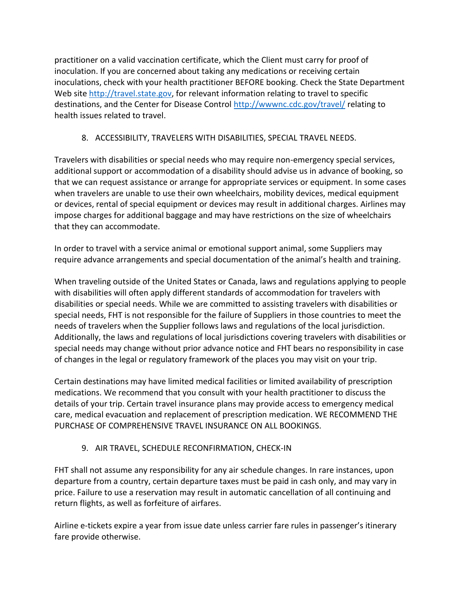practitioner on a valid vaccination certificate, which the Client must carry for proof of inoculation. If you are concerned about taking any medications or receiving certain inoculations, check with your health practitioner BEFORE booking. Check the State Department Web site [http://travel.state.gov,](http://travel.state.gov/) for relevant information relating to travel to specific destinations, and the Center for Disease Control<http://wwwnc.cdc.gov/travel/> relating to health issues related to travel.

# 8. ACCESSIBILITY, TRAVELERS WITH DISABILITIES, SPECIAL TRAVEL NEEDS.

Travelers with disabilities or special needs who may require non-emergency special services, additional support or accommodation of a disability should advise us in advance of booking, so that we can request assistance or arrange for appropriate services or equipment. In some cases when travelers are unable to use their own wheelchairs, mobility devices, medical equipment or devices, rental of special equipment or devices may result in additional charges. Airlines may impose charges for additional baggage and may have restrictions on the size of wheelchairs that they can accommodate.

In order to travel with a service animal or emotional support animal, some Suppliers may require advance arrangements and special documentation of the animal's health and training.

When traveling outside of the United States or Canada, laws and regulations applying to people with disabilities will often apply different standards of accommodation for travelers with disabilities or special needs. While we are committed to assisting travelers with disabilities or special needs, FHT is not responsible for the failure of Suppliers in those countries to meet the needs of travelers when the Supplier follows laws and regulations of the local jurisdiction. Additionally, the laws and regulations of local jurisdictions covering travelers with disabilities or special needs may change without prior advance notice and FHT bears no responsibility in case of changes in the legal or regulatory framework of the places you may visit on your trip.

Certain destinations may have limited medical facilities or limited availability of prescription medications. We recommend that you consult with your health practitioner to discuss the details of your trip. Certain travel insurance plans may provide access to emergency medical care, medical evacuation and replacement of prescription medication. WE RECOMMEND THE PURCHASE OF COMPREHENSIVE TRAVEL INSURANCE ON ALL BOOKINGS.

#### 9. AIR TRAVEL, SCHEDULE RECONFIRMATION, CHECK-IN

FHT shall not assume any responsibility for any air schedule changes. In rare instances, upon departure from a country, certain departure taxes must be paid in cash only, and may vary in price. Failure to use a reservation may result in automatic cancellation of all continuing and return flights, as well as forfeiture of airfares.

Airline e-tickets expire a year from issue date unless carrier fare rules in passenger's itinerary fare provide otherwise.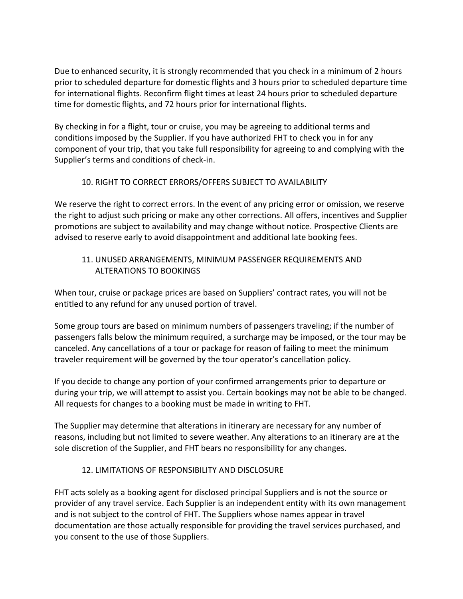Due to enhanced security, it is strongly recommended that you check in a minimum of 2 hours prior to scheduled departure for domestic flights and 3 hours prior to scheduled departure time for international flights. Reconfirm flight times at least 24 hours prior to scheduled departure time for domestic flights, and 72 hours prior for international flights.

By checking in for a flight, tour or cruise, you may be agreeing to additional terms and conditions imposed by the Supplier. If you have authorized FHT to check you in for any component of your trip, that you take full responsibility for agreeing to and complying with the Supplier's terms and conditions of check-in.

## 10. RIGHT TO CORRECT ERRORS/OFFERS SUBJECT TO AVAILABILITY

We reserve the right to correct errors. In the event of any pricing error or omission, we reserve the right to adjust such pricing or make any other corrections. All offers, incentives and Supplier promotions are subject to availability and may change without notice. Prospective Clients are advised to reserve early to avoid disappointment and additional late booking fees.

## 11. UNUSED ARRANGEMENTS, MINIMUM PASSENGER REQUIREMENTS AND ALTERATIONS TO BOOKINGS

When tour, cruise or package prices are based on Suppliers' contract rates, you will not be entitled to any refund for any unused portion of travel.

Some group tours are based on minimum numbers of passengers traveling; if the number of passengers falls below the minimum required, a surcharge may be imposed, or the tour may be canceled. Any cancellations of a tour or package for reason of failing to meet the minimum traveler requirement will be governed by the tour operator's cancellation policy.

If you decide to change any portion of your confirmed arrangements prior to departure or during your trip, we will attempt to assist you. Certain bookings may not be able to be changed. All requests for changes to a booking must be made in writing to FHT.

The Supplier may determine that alterations in itinerary are necessary for any number of reasons, including but not limited to severe weather. Any alterations to an itinerary are at the sole discretion of the Supplier, and FHT bears no responsibility for any changes.

#### 12. LIMITATIONS OF RESPONSIBILITY AND DISCLOSURE

FHT acts solely as a booking agent for disclosed principal Suppliers and is not the source or provider of any travel service. Each Supplier is an independent entity with its own management and is not subject to the control of FHT. The Suppliers whose names appear in travel documentation are those actually responsible for providing the travel services purchased, and you consent to the use of those Suppliers.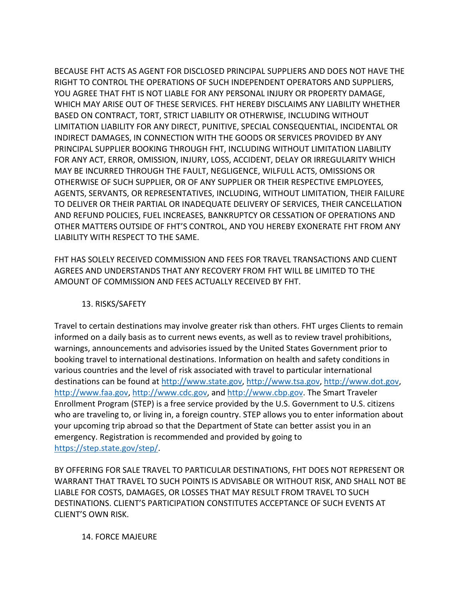BECAUSE FHT ACTS AS AGENT FOR DISCLOSED PRINCIPAL SUPPLIERS AND DOES NOT HAVE THE RIGHT TO CONTROL THE OPERATIONS OF SUCH INDEPENDENT OPERATORS AND SUPPLIERS, YOU AGREE THAT FHT IS NOT LIABLE FOR ANY PERSONAL INJURY OR PROPERTY DAMAGE, WHICH MAY ARISE OUT OF THESE SERVICES. FHT HEREBY DISCLAIMS ANY LIABILITY WHETHER BASED ON CONTRACT, TORT, STRICT LIABILITY OR OTHERWISE, INCLUDING WITHOUT LIMITATION LIABILITY FOR ANY DIRECT, PUNITIVE, SPECIAL CONSEQUENTIAL, INCIDENTAL OR INDIRECT DAMAGES, IN CONNECTION WITH THE GOODS OR SERVICES PROVIDED BY ANY PRINCIPAL SUPPLIER BOOKING THROUGH FHT, INCLUDING WITHOUT LIMITATION LIABILITY FOR ANY ACT, ERROR, OMISSION, INJURY, LOSS, ACCIDENT, DELAY OR IRREGULARITY WHICH MAY BE INCURRED THROUGH THE FAULT, NEGLIGENCE, WILFULL ACTS, OMISSIONS OR OTHERWISE OF SUCH SUPPLIER, OR OF ANY SUPPLIER OR THEIR RESPECTIVE EMPLOYEES, AGENTS, SERVANTS, OR REPRESENTATIVES, INCLUDING, WITHOUT LIMITATION, THEIR FAILURE TO DELIVER OR THEIR PARTIAL OR INADEQUATE DELIVERY OF SERVICES, THEIR CANCELLATION AND REFUND POLICIES, FUEL INCREASES, BANKRUPTCY OR CESSATION OF OPERATIONS AND OTHER MATTERS OUTSIDE OF FHT'S CONTROL, AND YOU HEREBY EXONERATE FHT FROM ANY LIABILITY WITH RESPECT TO THE SAME.

FHT HAS SOLELY RECEIVED COMMISSION AND FEES FOR TRAVEL TRANSACTIONS AND CLIENT AGREES AND UNDERSTANDS THAT ANY RECOVERY FROM FHT WILL BE LIMITED TO THE AMOUNT OF COMMISSION AND FEES ACTUALLY RECEIVED BY FHT.

## 13. RISKS/SAFETY

Travel to certain destinations may involve greater risk than others. FHT urges Clients to remain informed on a daily basis as to current news events, as well as to review travel prohibitions, warnings, announcements and advisories issued by the United States Government prior to booking travel to international destinations. Information on health and safety conditions in various countries and the level of risk associated with travel to particular international destinations can be found at [http://www.state.gov,](http://www.state.gov/) [http://www.tsa.gov,](http://www.tsa.gov/) [http://www.dot.gov,](http://www.dot.gov/) [http://www.faa.gov,](http://www.faa.gov/) [http://www.cdc.gov,](http://www.cdc.gov/) an[d http://www.cbp.gov.](http://www.cbp.gov/) The Smart Traveler Enrollment Program (STEP) is a free service provided by the U.S. Government to U.S. citizens who are traveling to, or living in, a foreign country. STEP allows you to enter information about your upcoming trip abroad so that the Department of State can better assist you in an emergency. Registration is recommended and provided by going to [https://step.state.gov/step/.](https://step.state.gov/step/)

BY OFFERING FOR SALE TRAVEL TO PARTICULAR DESTINATIONS, FHT DOES NOT REPRESENT OR WARRANT THAT TRAVEL TO SUCH POINTS IS ADVISABLE OR WITHOUT RISK, AND SHALL NOT BE LIABLE FOR COSTS, DAMAGES, OR LOSSES THAT MAY RESULT FROM TRAVEL TO SUCH DESTINATIONS. CLIENT'S PARTICIPATION CONSTITUTES ACCEPTANCE OF SUCH EVENTS AT CLIENT'S OWN RISK.

#### 14. FORCE MAJEURE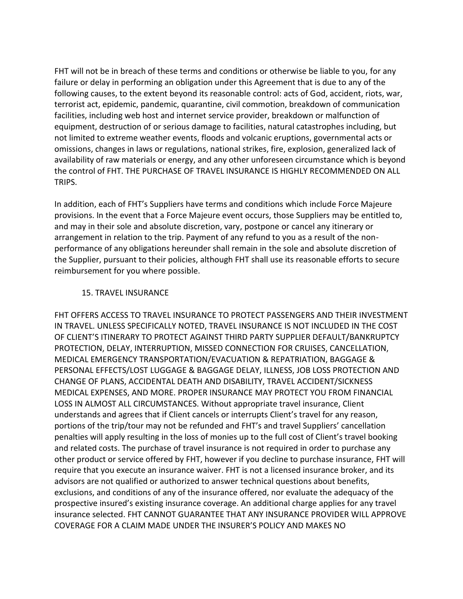FHT will not be in breach of these terms and conditions or otherwise be liable to you, for any failure or delay in performing an obligation under this Agreement that is due to any of the following causes, to the extent beyond its reasonable control: acts of God, accident, riots, war, terrorist act, epidemic, pandemic, quarantine, civil commotion, breakdown of communication facilities, including web host and internet service provider, breakdown or malfunction of equipment, destruction of or serious damage to facilities, natural catastrophes including, but not limited to extreme weather events, floods and volcanic eruptions, governmental acts or omissions, changes in laws or regulations, national strikes, fire, explosion, generalized lack of availability of raw materials or energy, and any other unforeseen circumstance which is beyond the control of FHT. THE PURCHASE OF TRAVEL INSURANCE IS HIGHLY RECOMMENDED ON ALL TRIPS.

In addition, each of FHT's Suppliers have terms and conditions which include Force Majeure provisions. In the event that a Force Majeure event occurs, those Suppliers may be entitled to, and may in their sole and absolute discretion, vary, postpone or cancel any itinerary or arrangement in relation to the trip. Payment of any refund to you as a result of the nonperformance of any obligations hereunder shall remain in the sole and absolute discretion of the Supplier, pursuant to their policies, although FHT shall use its reasonable efforts to secure reimbursement for you where possible.

#### 15. TRAVEL INSURANCE

FHT OFFERS ACCESS TO TRAVEL INSURANCE TO PROTECT PASSENGERS AND THEIR INVESTMENT IN TRAVEL. UNLESS SPECIFICALLY NOTED, TRAVEL INSURANCE IS NOT INCLUDED IN THE COST OF CLIENT'S ITINERARY TO PROTECT AGAINST THIRD PARTY SUPPLIER DEFAULT/BANKRUPTCY PROTECTION, DELAY, INTERRUPTION, MISSED CONNECTION FOR CRUISES, CANCELLATION, MEDICAL EMERGENCY TRANSPORTATION/EVACUATION & REPATRIATION, BAGGAGE & PERSONAL EFFECTS/LOST LUGGAGE & BAGGAGE DELAY, ILLNESS, JOB LOSS PROTECTION AND CHANGE OF PLANS, ACCIDENTAL DEATH AND DISABILITY, TRAVEL ACCIDENT/SICKNESS MEDICAL EXPENSES, AND MORE. PROPER INSURANCE MAY PROTECT YOU FROM FINANCIAL LOSS IN ALMOST ALL CIRCUMSTANCES. Without appropriate travel insurance, Client understands and agrees that if Client cancels or interrupts Client's travel for any reason, portions of the trip/tour may not be refunded and FHT's and travel Suppliers' cancellation penalties will apply resulting in the loss of monies up to the full cost of Client's travel booking and related costs. The purchase of travel insurance is not required in order to purchase any other product or service offered by FHT, however if you decline to purchase insurance, FHT will require that you execute an insurance waiver. FHT is not a licensed insurance broker, and its advisors are not qualified or authorized to answer technical questions about benefits, exclusions, and conditions of any of the insurance offered, nor evaluate the adequacy of the prospective insured's existing insurance coverage. An additional charge applies for any travel insurance selected. FHT CANNOT GUARANTEE THAT ANY INSURANCE PROVIDER WILL APPROVE COVERAGE FOR A CLAIM MADE UNDER THE INSURER'S POLICY AND MAKES NO